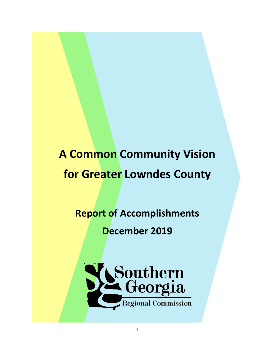## **A Common Community Vision for Greater Lowndes County**

## **Report of Accomplishments**

**December 2019**

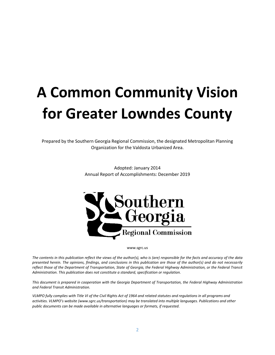# **A Common Community Vision for Greater Lowndes County**

Prepared by the Southern Georgia Regional Commission, the designated Metropolitan Planning Organization for the Valdosta Urbanized Area.

> Adopted: January 2014 Annual Report of Accomplishments: December 2019



www.sgrc.us

*The contents in this publication reflect the views of the author(s), who is (are) responsible for the facts and accuracy of the data presented herein. The opinions, findings, and conclusions in this publication are those of the author(s) and do not necessarily reflect those of the Department of Transportation, State of Georgia, the Federal Highway Administration, or the Federal Transit Administration. This publication does not constitute a standard, specification or regulation.* 

*This document is prepared in cooperation with the Georgia Department of Transportation, the Federal Highway Administration and Federal Transit Administration.*

*VLMPO fully complies with Title VI of the Civil Rights Act of 1964 and related statutes and regulations in all programs and activities. VLMPO's website (www.sgrc.us/transportation) may be translated into multiple languages. Publications and other public documents can be made available in alternative languages or formats, if requested.*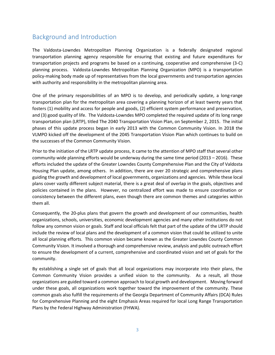#### Background and Introduction

The Valdosta-Lowndes Metropolitan Planning Organization is a federally designated regional transportation planning agency responsible for ensuring that existing and future expenditures for transportation projects and programs be based on a continuing, cooperative and comprehensive (3-C) planning process. Valdosta-Lowndes Metropolitan Planning Organization (MPO) is a transportation policy-making body made up of representatives from the local governments and transportation agencies with authority and responsibility in the metropolitan planning area.

One of the primary responsibilities of an MPO is to develop, and periodically update, a long-range transportation plan for the metropolitan area covering a planning horizon of at least twenty years that fosters (1) mobility and access for people and goods, (2) efficient system performance and preservation, and (3) good quality of life. The Valdosta-Lowndes MPO completed the required update of its long range transportation plan (LRTP), titled The 2040 Transportation Vision Plan, on September 2, 2015. The initial phases of this update process began in early 2013 with the Common Community Vision. In 2018 the VLMPO kicked off the development of the 2045 Transportation Vision Plan which continues to build on the successes of the Common Community Vision.

Prior to the initiation of the LRTP update process, it came to the attention of MPO staff that several other community-wide planning efforts would be underway during the same time period (2013 – 2016). These efforts included the update of the Greater Lowndes County Comprehensive Plan and the City of Valdosta Housing Plan update, among others. In addition, there are over 20 strategic and comprehensive plans guiding the growth and development of local governments, organizations and agencies. While these local plans cover vastly different subject material, there is a great deal of overlap in the goals, objectives and policies contained in the plans. However, no centralized effort was made to ensure coordination or consistency between the different plans, even though there are common themes and categories within them all.

Consequently, the 20-plus plans that govern the growth and development of our communities, health organizations, schools, universities, economic development agencies and many other institutions do not follow any common vision or goals. Staff and local officials felt that part of the update of the LRTP should include the review of local plans and the development of a common vision that could be utilized to unite all local planning efforts. This common vision became known as the Greater Lowndes County Common Community Vision. It involved a thorough and comprehensive review, analysis and public outreach effort to ensure the development of a current, comprehensive and coordinated vision and set of goals for the community.

By establishing a single set of goals that all local organizations may incorporate into their plans, the Common Community Vision provides a unified vision to the community. As a result, all those organizations are guided toward a common approach to local growth and development. Moving forward under these goals, all organizations work together toward the improvement of the community. These common goals also fulfill the requirements of the Georgia Department of Community Affairs (DCA) Rules for Comprehensive Planning and the eight Emphasis Areas required for local Long Range Transportation Plans by the Federal Highway Administration (FHWA).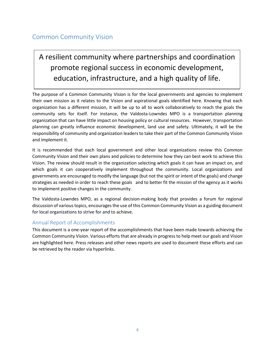#### Common Community Vision

### A resilient community where partnerships and coordination promote regional success in economic development, education, infrastructure, and a high quality of life.

The purpose of a Common Community Vision is for the local governments and agencies to implement their own mission as it relates to the Vision and aspirational goals identified here. Knowing that each organization has a different mission, it will be up to all to work collaboratively to reach the goals the community sets for itself. For instance, the Valdosta-Lowndes MPO is a transportation planning organization that can have little impact on housing policy or cultural resources. However, transportation planning can greatly influence economic development, land use and safety. Ultimately, it will be the responsibility of community and organization leaders to take their part of the Common Community Vision and implement it.

It is recommended that each local government and other local organizations review this Common Community Vision and their own plans and policies to determine how they can best work to achieve this Vision. The review should result in the organization selecting which goals it can have an impact on, and which goals it can cooperatively implement throughout the community. Local organizations and governments are encouraged to modify the language (but not the spirit or intent of the goals) and change strategies as needed in order to reach these goals and to better fit the mission of the agency as it works to implement positive changes in the community.

The Valdosta-Lowndes MPO, as a regional decision-making body that provides a forum for regional discussion of various topics, encourages the use of this Common Community Vision as a guiding document for local organizations to strive for and to achieve.

#### Annual Report of Accomplishments

This document is a one-year report of the accomplishments that have been made towards achieving the Common Community Vision. Various efforts that are already in progress to help meet our goals and Vision are highlighted here. Press releases and other news reports are used to document these efforts and can be retrieved by the reader via hyperlinks.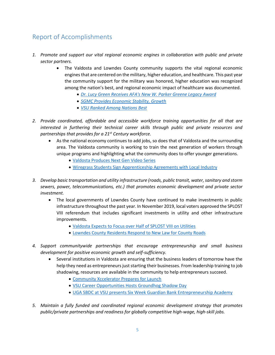#### Report of Accomplishments

- *1. Promote and support our vital regional economic engines in collaboration with public and private sector partners.*
	- The Valdosta and Lowndes County community supports the vital regional economic engines that are centered on the military, higher education, and healthcare. This past year the community support for the military was honored, higher education was recognized among the nation's best, and regional economic impact of healthcare was documented.
		- *[Dr. Lucy Green Receives AFA's New W. Parker Greene Legacy Award](https://www.airforcemag.com/article/airman-for-life-new-afa-legacy-award/)*
		- *[SGMC Provides Economic Stability, Growth](https://www.sgmc.org/sgmc-provides-economic-stability-growth/)*
		- *[VSU Ranked Among Nations Best](https://www.valdosta.edu/about/news/releases/2019/01/vsu-ranked-among-the-nations-best-by-u.s.-news-and-world-report.php)*
- *2. Provide coordinated, affordable and accessible workforce training opportunities for all that are interested in furthering their technical career skills through public and private resources and partnerships that provides for a 21st Century workforce.*
	- As the national economy continues to add jobs, so does that of Valdosta and the surrounding area. The Valdosta community is working to train the next generation of workers through unique programs and highlighting what the community does to offer younger generations.
		- [Valdosta Produces Next Gen Video Series](https://www.valdostacity.com/news/metro-17-valdosta-produces-%E2%80%98next-gen-valdosta%E2%80%99-video-series)
		- [Wiregrass Students Sign Apprenticeship Agreements with Local Industry](https://www.wiregrass.edu/about/news/wiregrass-students-sign-apprenticeship-agreements-with-local-industry)
- *3. Develop basic transportation and utility infrastructure (roads, public transit, water, sanitary and storm sewers, power, telecommunications, etc.) that promotes economic development and private sector investment.* 
	- The local governments of Lowndes County have continued to make investments in public infrastructure throughout the past year. In November 2019, local voters approved the SPLOST VIII referendum that includes significant investments in utility and other infrastructure improvements.
		- [Valdosta Expects to Focus over Half of SPLOST VIII on Utilities](https://www.walb.com/2019/07/24/valdosta-expects-focus-over-half-splost-viii-utilities/)
		- [Lowndes County Residents Respond to New Law for County Roads](https://www.walb.com/2019/10/28/lowndes-residents-respond-new-law-county-roads/)
- *4. Support communitywide partnerships that encourage entrepreneurship and small business development for positive economic growth and self-sufficiency.*
	- Several institutions in Valdosta are ensuring that the business leaders of tomorrow have the help they need as entrepreneurs just starting their businesses. From leadership training to job shadowing, resources are available in the community to help entrepreneurs succeed.
		- [Community Xccelerator Prepares for Launch](file:///C:/Users/chull/AppData/Local/Microsoft/Windows/INetCache/Content.Outlook/NDM3NNOT/Community%20https:/www.valdostadailytimes.com/news/local_news/community-xccelerator-prepares-for-launch/article_6b6d23a2-9d10-5f6a-b656-59abecd0f892.html)
		- [VSU Career Opportunities Hosts Groundhog Shadow Day](https://www.valdosta.edu/about/news/releases/2019/02/vsu-career-opportunities-hosts-groundhog-shadow-day.php)
		- [UGA SBDC at VSU presents Six Week Guardian Bank Entrepreneurship Academy](https://www.valdosta.edu/about/news/releases/2019/02/uga-sbdc-at-vsu-presents-six-week-guardian-bank-entrepreneurship-academy.php)
- *5. Maintain a fully funded and coordinated regional economic development strategy that promotes public/private partnerships and readiness for globally competitive high-wage, high-skill jobs.*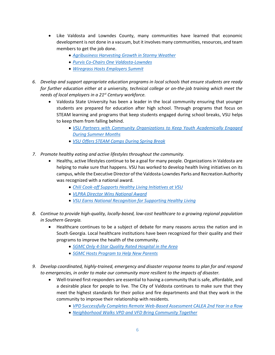- Like Valdosta and Lowndes County, many communities have learned that economic development is not done in a vacuum, but it involves many communities, resources, and team members to get the job done.
	- *[Agribusiness Harvesting Growth in Stormy Weather](https://businessfacilities.com/2019/10/agribusiness-harvesting-growth-in-stormy-weather/)*
	- *[Purvis Co-Chairs One Valdosta-Lowndes](https://www.valdostadailytimes.com/news/local_news/purvis-co-chairs-one-valdosta-lowndes/article_31679ad7-2cf7-5ac0-8188-22081fa69710.html)*
	- *[Wiregrass Hosts Employers Summit](https://www.valdostadailytimes.com/news/local_news/wiregrass-hosts-employers-summit/article_895ced43-f766-5844-addc-9c2e84b3ccb9.html)*
- *6. Develop and support appropriate education programs in local schools that ensure students are ready for further education either at a university, technical college or on-the-job training which meet the needs of local employers in a 21st Century workforce.*
	- Valdosta State University has been a leader in the local community ensuring that younger students are prepared for education after high school. Through programs that focus on STEAM learning and programs that keep students engaged during school breaks, VSU helps to keep them from falling behind.
		- *[VSU Partners with Community Organizations to Keep Youth Academically Engaged](https://www.valdosta.edu/about/news/releases/2019/08/vsu-partners-with-community-organizations-to-keep-youth-academically-engaged-during-summer-months.php)  [During Summer Months](https://www.valdosta.edu/about/news/releases/2019/08/vsu-partners-with-community-organizations-to-keep-youth-academically-engaged-during-summer-months.php)*
		- *[VSU Offers STEAM Camps During Spring Break](https://www.valdosta.edu/about/news/releases/2019/03/vsu-offers-steam-camps-during-spring-break-april-1-5-.php)*
- *7. Promote healthy eating and active lifestyles throughout the community.*
	- Healthy, active lifestyles continue to be a goal for many people. Organizations in Valdosta are helping to make sure that happens. VSU has worked to develop health living initiatives on its campus, while the Executive Director of the Valdosta-Lowndes Parks and Recreation Authority was recognized with a national award.
		- *Chili Cook-off Supports [Healthy Living Initiatives at VSU](https://www.valdosta.edu/about/news/releases/2019/10/chili-cook-off-supports-healthy-living-initiatives-at-vsu.php)*
		- *[VLPRA Director Wins National Award](https://valdostatoday.com/news-2/local/2019/05/vlpra-director-wins-national-award/)*
		- *[VSU Earns National Recognition for Supporting Healthy Living](https://www.valdosta.edu/about/news/releases/2019/07/vsu-earns-national-recognition-for-supporting-healthy-living.php)*
- *8. Continue to provide high-quality, locally-based, low-cost healthcare to a growing regional population in Southern Georgia.*
	- Healthcare continues to be a subject of debate for many reasons across the nation and in South Georgia. Local healthcare institutions have been recognized for their quality and their programs to improve the health of the community.
		- *[SGMC Only 4-Star Quality Rated Hospital in the Area](https://www.sgmc.org/sgmc-only-4-star-quality-rated-hospital-in-the-area/)*
		- *[SGMC Hosts Program to Help New Parents](https://valdostatoday.com/news-2/local/2019/08/sgmc-hosts-program-to-help-new-parents/)*
- *9. Develop coordinated, highly-trained, emergency and disaster response teams to plan for and respond to emergencies, in order to make our community more resilient to the impacts of disaster.*
	- Well-trained first-responders are essential to having a community that is safe, affordable, and a desirable place for people to live. The City of Valdosta continues to make sure that they meet the highest standards for their police and fire departments and that they work in the community to improve their relationship with residents.
		- *[VPD Successfully Completes Remote Web-Based Assessment CALEA 2nd Year in a Row](https://www.valdostacity.com/news/vpd-successfully-completes-remote-web-based-assessment-calea-second-year-a-row)*
		- *[Neighborhood Walks VPD and VFD Bring Community Together](https://www.valdostacity.com/news/neighborhood-walks-vpd-and-vfd-bring-community-together)*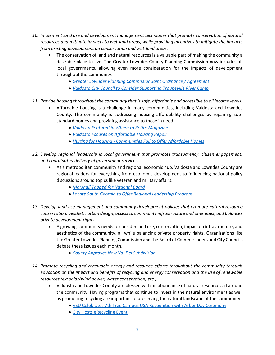- *10. Implement land use and development management techniques that promote conservation of natural resources and mitigate impacts to wet-land areas, while providing incentives to mitigate the impacts from existing development on conservation and wet-land areas.*
	- The conservation of land and natural resources is a valuable part of making the community a desirable place to live. The Greater Lowndes County Planning Commission now includes all local governments, allowing even more consideration for the impacts of development throughout the community.
		- *[Greater Lowndes Planning Commission Joint Ordinance / Agreement](http://www.l-a-k-e.org/blog/2019/11/grants-and-bids-law-transportation-water-and-roof-cleaning-lcc-2019-11-11.html)*
		- *[Valdosta City Council to Consider Supporting Troupeville River Camp](https://www.wctv.tv/content/news/Valdosta-City-Council-to-consider-supporting-Troupeville-River-Camp-565707171.html)*
- *11. Provide housing throughout the community that is safe, affordable and accessible to all income levels.*
	- Affordable housing is a challenge in many communities, including Valdosta and Lowndes County. The community is addressing housing affordability challenges by repairing substandard homes and providing assistance to those in need.
		- *[Valdosta Featured in Where to Retire Magazine](https://valdostatoday.com/news-2/local/2018/12/valdosta-featured-in-where-to-retire-magazine/)*
		- *[Valdosta Focuses on Affordable Housing Repair](https://www.walb.com/2019/01/11/city-valdosta-focuses-affordable-housing-repair/)*
		- *Hurting for Housing - [Communities Fail to Offer Affordable Homes](https://www.valdostadailytimes.com/news/local_news/hurting-for-housing-communities-fail-to-offer-affordable-homes/article_5db75e3f-7804-5dfb-8076-ae092d5b8839.html)*
- *12. Develop regional leadership in local government that promotes transparency, citizen engagement, and coordinated delivery of government services.*
	- As a metropolitan community and regional economic hub, Valdosta and Lowndes County are regional leaders for everything from economic development to influencing national policy discussions around topics like veteran and military affairs.
		- *[Marshall Tapped for National Board](https://www.valdostadailytimes.com/news/local_news/marshall-tapped-for-national-board/article_bf67ff0b-0854-5d40-aba0-22905b16740c.html)*
		- *[Locate South Georgia to Offer Regional Leadership Program](https://www.valdosta.edu/about/news/releases/2019/08/locate-south-georgia-to-offer-regional-leadership-program.php)*
- *13. Develop land use management and community development policies that promote natural resource conservation, aesthetic urban design, access to community infrastructure and amenities, and balances private development rights.*
	- A growing community needs to consider land use, conservation, impact on infrastructure, and aesthetics of the community, all while balancing private property rights. Organizations like the Greater Lowndes Planning Commission and the Board of Commissioners and City Councils debate these issues each month.
		- *[County Approves New Val Del Subdivision](https://www.valdostadailytimes.com/news/local_news/county-approves-new-val-del-subdivision/article_dd010d47-ac1b-50df-bcc0-c17b2d76b6eb.html)*
- *14. Promote recycling and renewable energy and resource efforts throughout the community through education on the impact and benefits of recycling and energy conservation and the use of renewable resources (ex; solar/wind power, water conservation, etc.).*
	- Valdosta and Lowndes County are blessed with an abundance of natural resources all around the community. Having programs that continue to invest in the natural environment as well as promoting recycling are important to preserving the natural landscape of the community.
		- [VSU Celebrates 7th Tree Campus USA Recognition with Arbor Day Ceremony](https://www.valdosta.edu/about/news/releases/2019/02/vsu-celebrates-seventh-tree-campus-usa-recognition-with-arbor-day-ceremony.php)
		- [City Hosts eRecycling Event](https://www.valdostadailytimes.com/news/local_news/city-hosts-e-recycling-event/article_ef8ebb4b-ec77-5c15-a4ca-becebd064c57.html)